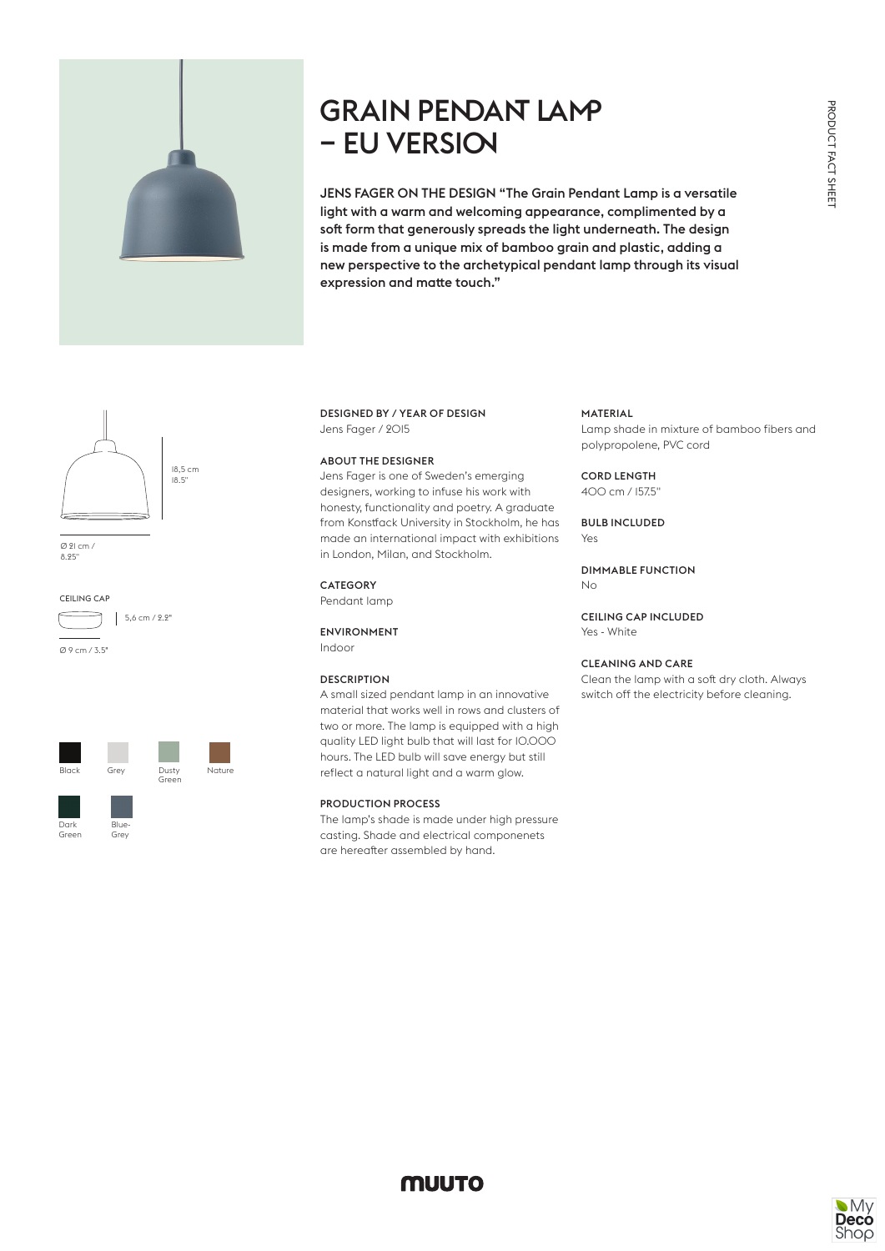

# GRAIN PENDANT LAMP – EU VERSION

JENS FAGER ON THE DESIGN "The Grain Pendant Lamp is a versatile light with a warm and welcoming appearance, complimented by a soft form that generously spreads the light underneath. The design is made from a unique mix of bamboo grain and plastic, adding a new perspective to the archetypical pendant lamp through its visual expression and matte touch."



Ø 21 cm / 8.25"

### CEILING CAP



Ø 9 cm / 3.5"



## DESIGNED BY / YEAR OF DESIGN Jens Fager / 2015

#### ABOUT THE DESIGNER

Jens Fager is one of Sweden's emerging designers, working to infuse his work with honesty, functionality and poetry. A graduate from Konstfack University in Stockholm, he has made an international impact with exhibitions in London, Milan, and Stockholm.

## **CATEGORY**

Pendant lamp

ENVIRONMENT Indoor

#### **DESCRIPTION**

A small sized pendant lamp in an innovative material that works well in rows and clusters of two or more. The lamp is equipped with a high quality LED light bulb that will last for 10.000 hours. The LED bulb will save energy but still reflect a natural light and a warm glow.

#### PRODUCTION PROCESS

The lamp's shade is made under high pressure casting. Shade and electrical componenets are hereafter assembled by hand.

#### MATERIAL

Lamp shade in mixture of bamboo fibers and polypropolene, PVC cord

#### CORD LENGTH 400 cm / 157.5"

BULB INCLUDED Yes

DIMMABLE FUNCTION No

CEILING CAP INCLUDED Yes - White

## CLEANING AND CARE

Clean the lamp with a soft dry cloth. Always switch off the electricity before cleaning.